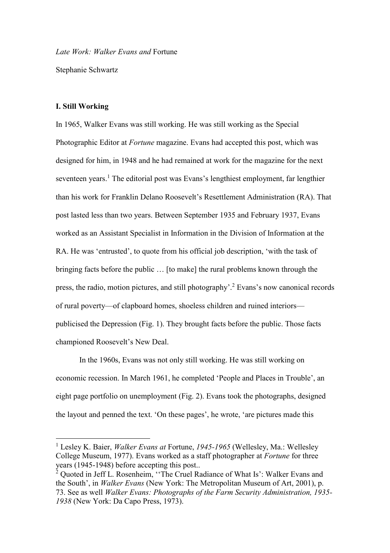*Late Work: Walker Evans and* Fortune

Stephanie Schwartz

### **I. Still Working**

<u>.</u>

In 1965, Walker Evans was still working. He was still working as the Special Photographic Editor at *Fortune* magazine. Evans had accepted this post, which was designed for him, in 1948 and he had remained at work for the magazine for the next seventeen years.<sup>1</sup> The editorial post was Evans's lengthiest employment, far lengthier than his work for Franklin Delano Roosevelt's Resettlement Administration (RA). That post lasted less than two years. Between September 1935 and February 1937, Evans worked as an Assistant Specialist in Information in the Division of Information at the RA. He was 'entrusted', to quote from his official job description, 'with the task of bringing facts before the public … [to make] the rural problems known through the press, the radio, motion pictures, and still photography'. <sup>2</sup> Evans's now canonical records of rural poverty—of clapboard homes, shoeless children and ruined interiors publicised the Depression (Fig. 1). They brought facts before the public. Those facts championed Roosevelt's New Deal.

In the 1960s, Evans was not only still working. He was still working on economic recession. In March 1961, he completed 'People and Places in Trouble', an eight page portfolio on unemployment (Fig. 2). Evans took the photographs, designed the layout and penned the text. 'On these pages', he wrote, 'are pictures made this

<sup>1</sup> Lesley K. Baier, *Walker Evans at* Fortune, *1945-1965* (Wellesley, Ma.: Wellesley College Museum, 1977). Evans worked as a staff photographer at *Fortune* for three years (1945-1948) before accepting this post..

 $2$  Quoted in Jeff L. Rosenheim, "The Cruel Radiance of What Is': Walker Evans and the South', in *Walker Evans* (New York: The Metropolitan Museum of Art, 2001), p. 73. See as well *Walker Evans: Photographs of the Farm Security Administration, 1935- 1938* (New York: Da Capo Press, 1973).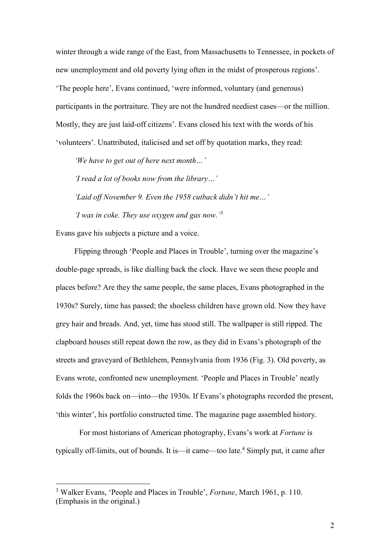winter through a wide range of the East, from Massachusetts to Tennessee, in pockets of new unemployment and old poverty lying often in the midst of prosperous regions'. 'The people here', Evans continued, 'were informed, voluntary (and generous) participants in the portraiture. They are not the hundred neediest cases—or the million. Mostly, they are just laid-off citizens'. Evans closed his text with the words of his 'volunteers'. Unattributed, italicised and set off by quotation marks, they read:

*'We have to get out of here next month…'*

*'I read a lot of books now from the library…'*

*'Laid off November 9. Even the 1958 cutback didn't hit me…'*

*'I was in coke. They use oxygen and gas now.'* 3

Evans gave his subjects a picture and a voice.

<u>.</u>

Flipping through 'People and Places in Trouble', turning over the magazine's double-page spreads, is like dialling back the clock. Have we seen these people and places before? Are they the same people, the same places, Evans photographed in the 1930s? Surely, time has passed; the shoeless children have grown old. Now they have grey hair and breads. And, yet, time has stood still. The wallpaper is still ripped. The clapboard houses still repeat down the row, as they did in Evans's photograph of the streets and graveyard of Bethlehem, Pennsylvania from 1936 (Fig. 3). Old poverty, as Evans wrote, confronted new unemployment. 'People and Places in Trouble' neatly folds the 1960s back on—into—the 1930s. If Evans's photographs recorded the present, 'this winter', his portfolio constructed time. The magazine page assembled history.

For most historians of American photography, Evans's work at *Fortune* is typically off-limits, out of bounds. It is—it came—too late.<sup>4</sup> Simply put, it came after

<sup>3</sup> Walker Evans, 'People and Places in Trouble', *Fortune*, March 1961, p. 110. (Emphasis in the original.)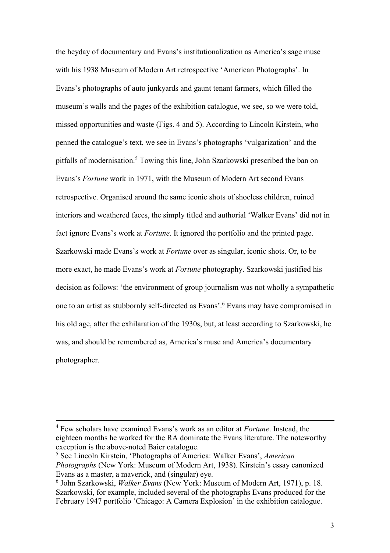the heyday of documentary and Evans's institutionalization as America's sage muse with his 1938 Museum of Modern Art retrospective 'American Photographs'. In Evans's photographs of auto junkyards and gaunt tenant farmers, which filled the museum's walls and the pages of the exhibition catalogue, we see, so we were told, missed opportunities and waste (Figs. 4 and 5). According to Lincoln Kirstein, who penned the catalogue's text, we see in Evans's photographs 'vulgarization' and the pitfalls of modernisation.<sup>5</sup> Towing this line, John Szarkowski prescribed the ban on Evans's *Fortune* work in 1971, with the Museum of Modern Art second Evans retrospective. Organised around the same iconic shots of shoeless children, ruined interiors and weathered faces, the simply titled and authorial 'Walker Evans' did not in fact ignore Evans's work at *Fortune*. It ignored the portfolio and the printed page. Szarkowski made Evans's work at *Fortune* over as singular, iconic shots. Or, to be more exact, he made Evans's work at *Fortune* photography. Szarkowski justified his decision as follows: 'the environment of group journalism was not wholly a sympathetic one to an artist as stubbornly self-directed as Evans'. <sup>6</sup> Evans may have compromised in his old age, after the exhilaration of the 1930s, but, at least according to Szarkowski, he was, and should be remembered as, America's muse and America's documentary photographer.

<sup>4</sup> Few scholars have examined Evans's work as an editor at *Fortune*. Instead, the eighteen months he worked for the RA dominate the Evans literature. The noteworthy exception is the above-noted Baier catalogue.

<sup>5</sup> See Lincoln Kirstein, 'Photographs of America: Walker Evans', *American Photographs* (New York: Museum of Modern Art, 1938). Kirstein's essay canonized Evans as a master, a maverick, and (singular) eye.

<sup>6</sup> John Szarkowski, *Walker Evans* (New York: Museum of Modern Art, 1971), p. 18. Szarkowski, for example, included several of the photographs Evans produced for the February 1947 portfolio 'Chicago: A Camera Explosion' in the exhibition catalogue.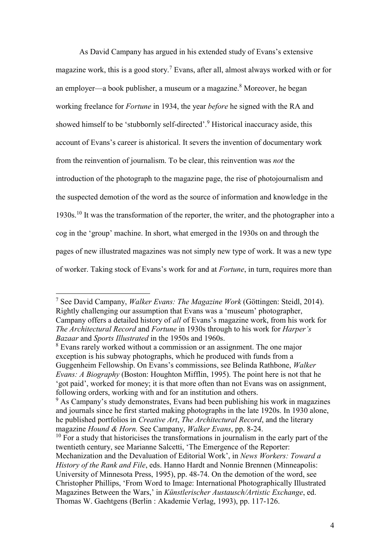As David Campany has argued in his extended study of Evans's extensive magazine work, this is a good story.<sup>7</sup> Evans, after all, almost always worked with or for an employer—a book publisher, a museum or a magazine. <sup>8</sup> Moreover, he began working freelance for *Fortune* in 1934, the year *before* he signed with the RA and showed himself to be 'stubbornly self-directed'.<sup>9</sup> Historical inaccuracy aside, this account of Evans's career is ahistorical. It severs the invention of documentary work from the reinvention of journalism. To be clear, this reinvention was *not* the introduction of the photograph to the magazine page, the rise of photojournalism and the suspected demotion of the word as the source of information and knowledge in the 1930s.<sup>10</sup> It was the transformation of the reporter, the writer, and the photographer into a cog in the 'group' machine. In short, what emerged in the 1930s on and through the pages of new illustrated magazines was not simply new type of work. It was a new type of worker. Taking stock of Evans's work for and at *Fortune*, in turn, requires more than

-

<sup>7</sup> See David Campany, *Walker Evans: The Magazine Work* (Göttingen: Steidl, 2014). Rightly challenging our assumption that Evans was a 'museum' photographer, Campany offers a detailed history of *all* of Evans's magazine work, from his work for *The Architectural Record* and *Fortune* in 1930s through to his work for *Harper's Bazaar* and *Sports Illustrated* in the 1950s and 1960s.

<sup>&</sup>lt;sup>8</sup> Evans rarely worked without a commission or an assignment. The one major exception is his subway photographs, which he produced with funds from a Guggenheim Fellowship. On Evans's commissions, see Belinda Rathbone, *Walker Evans: A Biography* (Boston: Houghton Mifflin, 1995). The point here is not that he 'got paid', worked for money; it is that more often than not Evans was on assignment, following orders, working with and for an institution and others.

 $9$  As Campany's study demonstrates, Evans had been publishing his work in magazines and journals since he first started making photographs in the late 1920s. In 1930 alone, he published portfolios in *Creative Art*, *The Architectural Record*, and the literary magazine *Hound & Horn.* See Campany, *Walker Evans*, pp. 8-24.

 $10$  For a study that historicises the transformations in journalism in the early part of the twentieth century, see Marianne Salcetti, 'The Emergence of the Reporter: Mechanization and the Devaluation of Editorial Work', in *News Workers: Toward a History of the Rank and File*, eds. Hanno Hardt and Nonnie Brennen (Minneapolis: University of Minnesota Press, 1995), pp. 48-74. On the demotion of the word, see Christopher Phillips, 'From Word to Image: International Photographically Illustrated Magazines Between the Wars,' in *Künstlerischer Austausch/Artistic Exchange*, ed. Thomas W. Gaehtgens (Berlin : Akademie Verlag, 1993), pp. 117-126.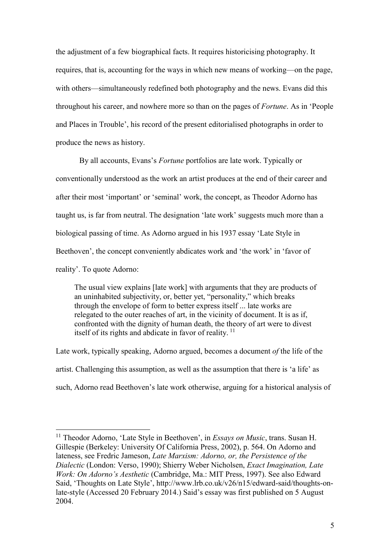the adjustment of a few biographical facts. It requires historicising photography. It requires, that is, accounting for the ways in which new means of working—on the page, with others—simultaneously redefined both photography and the news. Evans did this throughout his career, and nowhere more so than on the pages of *Fortune*. As in 'People and Places in Trouble', his record of the present editorialised photographs in order to produce the news as history.

By all accounts, Evans's *Fortune* portfolios are late work. Typically or conventionally understood as the work an artist produces at the end of their career and after their most 'important' or 'seminal' work, the concept, as Theodor Adorno has taught us, is far from neutral. The designation 'late work' suggests much more than a biological passing of time. As Adorno argued in his 1937 essay 'Late Style in Beethoven', the concept conveniently abdicates work and 'the work' in 'favor of reality'. To quote Adorno:

The usual view explains [late work] with arguments that they are products of an uninhabited subjectivity, or, better yet, "personality," which breaks through the envelope of form to better express itself ... late works are relegated to the outer reaches of art, in the vicinity of document. It is as if, confronted with the dignity of human death, the theory of art were to divest itself of its rights and abdicate in favor of reality.  $11$ 

Late work, typically speaking, Adorno argued, becomes a document *of* the life of the artist. Challenging this assumption, as well as the assumption that there is 'a life' as such, Adorno read Beethoven's late work otherwise, arguing for a historical analysis of

1

<sup>&</sup>lt;sup>11</sup> Theodor Adorno, 'Late Style in Beethoven', in *Essays on Music*, trans. Susan H. Gillespie (Berkeley: University Of California Press, 2002), p. 564. On Adorno and lateness, see Fredric Jameson, *Late Marxism: Adorno, or, the Persistence of the Dialectic* (London: Verso, 1990); Shierry Weber Nicholsen, *Exact Imagination, Late Work: On Adorno's Aesthetic* (Cambridge, Ma.: MIT Press, 1997). See also Edward Said, 'Thoughts on Late Style', http://www.lrb.co.uk/v26/n15/edward-said/thoughts-onlate-style (Accessed 20 February 2014.) Said's essay was first published on 5 August 2004.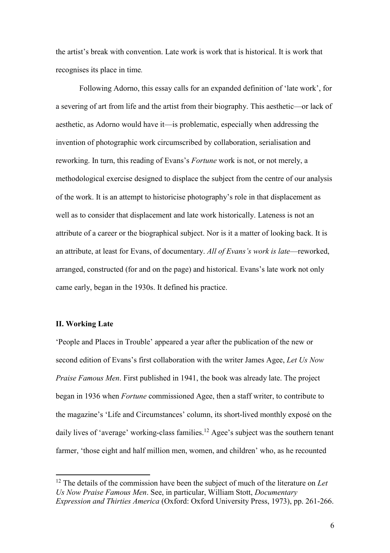the artist's break with convention. Late work is work that is historical. It is work that recognises its place in time*.*

Following Adorno, this essay calls for an expanded definition of 'late work', for a severing of art from life and the artist from their biography. This aesthetic—or lack of aesthetic, as Adorno would have it—is problematic, especially when addressing the invention of photographic work circumscribed by collaboration, serialisation and reworking. In turn, this reading of Evans's *Fortune* work is not, or not merely, a methodological exercise designed to displace the subject from the centre of our analysis of the work. It is an attempt to historicise photography's role in that displacement as well as to consider that displacement and late work historically. Lateness is not an attribute of a career or the biographical subject. Nor is it a matter of looking back. It is an attribute, at least for Evans, of documentary. *All of Evans's work is late*—reworked, arranged, constructed (for and on the page) and historical. Evans's late work not only came early, began in the 1930s. It defined his practice.

### **II. Working Late**

1

'People and Places in Trouble' appeared a year after the publication of the new or second edition of Evans's first collaboration with the writer James Agee, *Let Us Now Praise Famous Men*. First published in 1941, the book was already late. The project began in 1936 when *Fortune* commissioned Agee, then a staff writer, to contribute to the magazine's 'Life and Circumstances' column, its short-lived monthly exposé on the daily lives of 'average' working-class families.<sup>12</sup> Agee's subject was the southern tenant farmer, 'those eight and half million men, women, and children' who, as he recounted

<sup>12</sup> The details of the commission have been the subject of much of the literature on *Let Us Now Praise Famous Men*. See, in particular, William Stott, *Documentary Expression and Thirties America* (Oxford: Oxford University Press, 1973), pp. 261-266.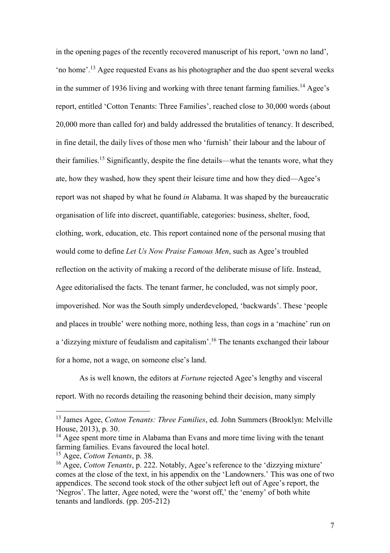in the opening pages of the recently recovered manuscript of his report, 'own no land', 'no home'. <sup>13</sup> Agee requested Evans as his photographer and the duo spent several weeks in the summer of 1936 living and working with three tenant farming families.<sup>14</sup> Agee's report, entitled 'Cotton Tenants: Three Families', reached close to 30,000 words (about 20,000 more than called for) and baldy addressed the brutalities of tenancy. It described, in fine detail, the daily lives of those men who 'furnish' their labour and the labour of their families.<sup>15</sup> Significantly, despite the fine details—what the tenants wore, what they ate, how they washed, how they spent their leisure time and how they died—Agee's report was not shaped by what he found *in* Alabama. It was shaped by the bureaucratic organisation of life into discreet, quantifiable, categories: business, shelter, food, clothing, work, education, etc. This report contained none of the personal musing that would come to define *Let Us Now Praise Famous Men*, such as Agee's troubled reflection on the activity of making a record of the deliberate misuse of life. Instead, Agee editorialised the facts. The tenant farmer, he concluded, was not simply poor, impoverished. Nor was the South simply underdeveloped, 'backwards'. These 'people and places in trouble' were nothing more, nothing less, than cogs in a 'machine' run on a 'dizzying mixture of feudalism and capitalism'.<sup>16</sup> The tenants exchanged their labour for a home, not a wage, on someone else's land.

As is well known, the editors at *Fortune* rejected Agee's lengthy and visceral report. With no records detailing the reasoning behind their decision, many simply

<sup>13</sup> James Agee, *Cotton Tenants: Three Families*, ed. John Summers (Brooklyn: Melville House, 2013), p. 30.

<sup>&</sup>lt;sup>14</sup> Agee spent more time in Alabama than Evans and more time living with the tenant farming families. Evans favoured the local hotel.

<sup>15</sup> Agee, *Cotton Tenants*, p. 38.

<sup>16</sup> Agee, *Cotton Tenants*, p. 222. Notably, Agee's reference to the 'dizzying mixture' comes at the close of the text, in his appendix on the 'Landowners.' This was one of two appendices. The second took stock of the other subject left out of Agee's report, the 'Negros'. The latter, Agee noted, were the 'worst off,' the 'enemy' of both white tenants and landlords. (pp. 205-212)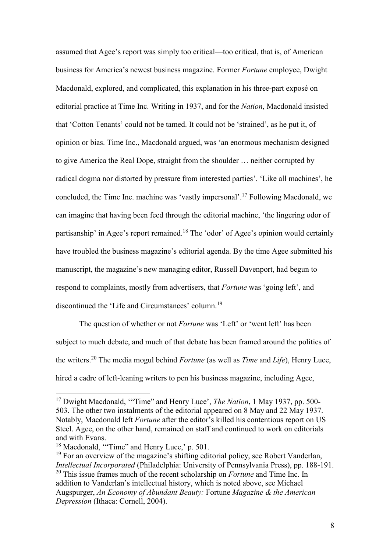assumed that Agee's report was simply too critical—too critical, that is, of American business for America's newest business magazine. Former *Fortune* employee, Dwight Macdonald, explored, and complicated, this explanation in his three-part exposé on editorial practice at Time Inc. Writing in 1937, and for the *Nation*, Macdonald insisted that 'Cotton Tenants' could not be tamed. It could not be 'strained', as he put it, of opinion or bias. Time Inc., Macdonald argued, was 'an enormous mechanism designed to give America the Real Dope, straight from the shoulder … neither corrupted by radical dogma nor distorted by pressure from interested parties'. 'Like all machines', he concluded, the Time Inc. machine was 'vastly impersonal'.<sup>17</sup> Following Macdonald, we can imagine that having been feed through the editorial machine, 'the lingering odor of partisanship' in Agee's report remained.<sup>18</sup> The 'odor' of Agee's opinion would certainly have troubled the business magazine's editorial agenda. By the time Agee submitted his manuscript, the magazine's new managing editor, Russell Davenport, had begun to respond to complaints, mostly from advertisers, that *Fortune* was 'going left', and discontinued the 'Life and Circumstances' column.<sup>19</sup>

The question of whether or not *Fortune* was 'Left' or 'went left' has been subject to much debate, and much of that debate has been framed around the politics of the writers.<sup>20</sup> The media mogul behind *Fortune* (as well as *Time* and *Life*), Henry Luce, hired a cadre of left-leaning writers to pen his business magazine, including Agee,

<sup>17</sup> Dwight Macdonald, '"Time" and Henry Luce', *The Nation*, 1 May 1937, pp. 500- 503. The other two instalments of the editorial appeared on 8 May and 22 May 1937. Notably, Macdonald left *Fortune* after the editor's killed his contentious report on US Steel. Agee, on the other hand, remained on staff and continued to work on editorials and with Evans.

<sup>&</sup>lt;sup>18</sup> Macdonald, "Time" and Henry Luce,' p. 501.

 $19$  For an overview of the magazine's shifting editorial policy, see Robert Vanderlan, *Intellectual Incorporated* (Philadelphia: University of Pennsylvania Press), pp. 188-191. <sup>20</sup> This issue frames much of the recent scholarship on *Fortune* and Time Inc. In addition to Vanderlan's intellectual history, which is noted above, see Michael Augspurger, *An Economy of Abundant Beauty:* Fortune *Magazine & the American Depression* (Ithaca: Cornell, 2004).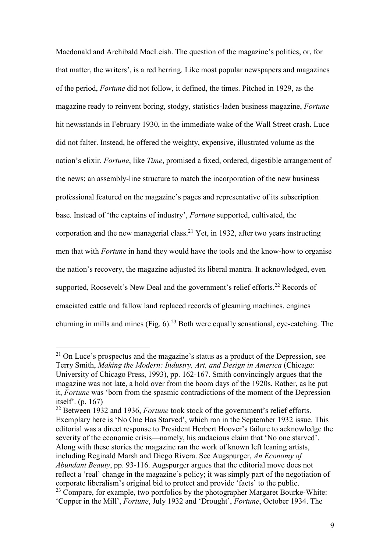Macdonald and Archibald MacLeish. The question of the magazine's politics, or, for that matter, the writers', is a red herring. Like most popular newspapers and magazines of the period, *Fortune* did not follow, it defined, the times. Pitched in 1929, as the magazine ready to reinvent boring, stodgy, statistics-laden business magazine, *Fortune*  hit newsstands in February 1930, in the immediate wake of the Wall Street crash. Luce did not falter. Instead, he offered the weighty, expensive, illustrated volume as the nation's elixir. *Fortune*, like *Time*, promised a fixed, ordered, digestible arrangement of the news; an assembly-line structure to match the incorporation of the new business professional featured on the magazine's pages and representative of its subscription base. Instead of 'the captains of industry', *Fortune* supported, cultivated, the corporation and the new managerial class.<sup>21</sup> Yet, in 1932, after two years instructing men that with *Fortune* in hand they would have the tools and the know-how to organise the nation's recovery, the magazine adjusted its liberal mantra. It acknowledged, even supported, Roosevelt's New Deal and the government's relief efforts.<sup>22</sup> Records of emaciated cattle and fallow land replaced records of gleaming machines, engines churning in mills and mines (Fig.  $6$ ).<sup>23</sup> Both were equally sensational, eye-catching. The

 $21$  On Luce's prospectus and the magazine's status as a product of the Depression, see Terry Smith, *Making the Modern: Industry, Art, and Design in America* (Chicago: University of Chicago Press, 1993), pp. 162-167. Smith convincingly argues that the magazine was not late, a hold over from the boom days of the 1920s. Rather, as he put it, *Fortune* was 'born from the spasmic contradictions of the moment of the Depression itself'. (p. 167)

<sup>22</sup> Between 1932 and 1936, *Fortune* took stock of the government's relief efforts. Exemplary here is 'No One Has Starved', which ran in the September 1932 issue. This editorial was a direct response to President Herbert Hoover's failure to acknowledge the severity of the economic crisis—namely, his audacious claim that 'No one starved'. Along with these stories the magazine ran the work of known left leaning artists, including Reginald Marsh and Diego Rivera. See Augspurger, *An Economy of Abundant Beauty*, pp. 93-116. Augspurger argues that the editorial move does not reflect a 'real' change in the magazine's policy; it was simply part of the negotiation of corporate liberalism's original bid to protect and provide 'facts' to the public.  $^{23}$  Compare, for example, two portfolios by the photographer Margaret Bourke-White: 'Copper in the Mill', *Fortune*, July 1932 and 'Drought', *Fortune*, October 1934. The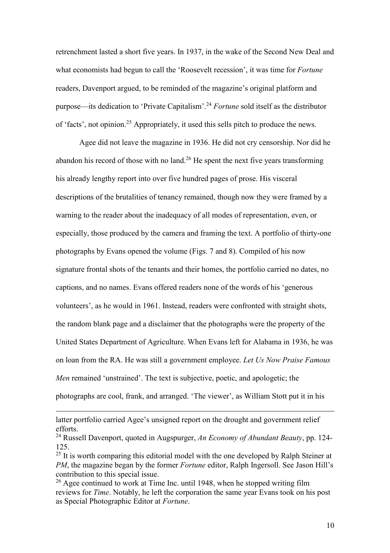retrenchment lasted a short five years. In 1937, in the wake of the Second New Deal and what economists had begun to call the 'Roosevelt recession', it was time for *Fortune* readers, Davenport argued, to be reminded of the magazine's original platform and purpose—its dedication to 'Private Capitalism'. <sup>24</sup> *Fortune* sold itself as the distributor of 'facts', not opinion.<sup>25</sup> Appropriately, it used this sells pitch to produce the news.

Agee did not leave the magazine in 1936. He did not cry censorship. Nor did he abandon his record of those with no land.<sup>26</sup> He spent the next five years transforming his already lengthy report into over five hundred pages of prose. His visceral descriptions of the brutalities of tenancy remained, though now they were framed by a warning to the reader about the inadequacy of all modes of representation, even, or especially, those produced by the camera and framing the text. A portfolio of thirty-one photographs by Evans opened the volume (Figs. 7 and 8). Compiled of his now signature frontal shots of the tenants and their homes, the portfolio carried no dates, no captions, and no names. Evans offered readers none of the words of his 'generous volunteers', as he would in 1961. Instead, readers were confronted with straight shots, the random blank page and a disclaimer that the photographs were the property of the United States Department of Agriculture. When Evans left for Alabama in 1936, he was on loan from the RA. He was still a government employee. *Let Us Now Praise Famous Men* remained 'unstrained'. The text is subjective, poetic, and apologetic; the photographs are cool, frank, and arranged. 'The viewer', as William Stott put it in his

latter portfolio carried Agee's unsigned report on the drought and government relief efforts.

<sup>24</sup> Russell Davenport, quoted in Augspurger, *An Economy of Abundant Beauty*, pp. 124- 125.

 $25$  It is worth comparing this editorial model with the one developed by Ralph Steiner at *PM*, the magazine began by the former *Fortune* editor, Ralph Ingersoll. See Jason Hill's contribution to this special issue.

 $26$  Agee continued to work at Time Inc. until 1948, when he stopped writing film reviews for *Time*. Notably, he left the corporation the same year Evans took on his post as Special Photographic Editor at *Fortune*.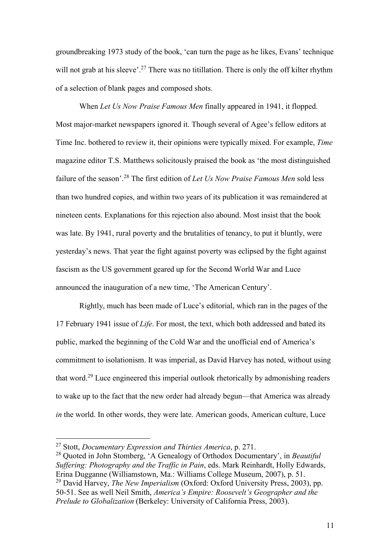groundbreaking 1973 study of the book, 'can turn the page as he likes, Evans' technique will not grab at his sleeve'.<sup>27</sup> There was no titillation. There is only the off kilter rhythm of a selection of blank pages and composed shots.

When *Let Us Now Praise Famous Men* finally appeared in 1941, it flopped. Most major-market newspapers ignored it. Though several of Agee's fellow editors at Time Inc. bothered to review it, their opinions were typically mixed. For example, *Time*  magazine editor T.S. Matthews solicitously praised the book as 'the most distinguished failure of the season'. <sup>28</sup> The first edition of *Let Us Now Praise Famous Men* sold less than two hundred copies, and within two years of its publication it was remaindered at nineteen cents. Explanations for this rejection also abound. Most insist that the book was late. By 1941, rural poverty and the brutalities of tenancy, to put it bluntly, were yesterday's news. That year the fight against poverty was eclipsed by the fight against fascism as the US government geared up for the Second World War and Luce announced the inauguration of a new time, 'The American Century'.

Rightly, much has been made of Luce's editorial, which ran in the pages of the 17 February 1941 issue of *Life*. For most, the text, which both addressed and bated its public, marked the beginning of the Cold War and the unofficial end of America's commitment to isolationism. It was imperial, as David Harvey has noted, without using that word.<sup>29</sup> Luce engineered this imperial outlook rhetorically by admonishing readers to wake up to the fact that the new order had already begun—that America was already *in* the world. In other words, they were late. American goods, American culture, Luce

<sup>27</sup> Stott, *Documentary Expression and Thirties America*, p. 271.

<sup>28</sup> Quoted in John Stomberg, 'A Genealogy of Orthodox Documentary', in *Beautiful Suffering: Photography and the Traffic in Pain*, eds. Mark Reinhardt, Holly Edwards, Erina Dugganne (Williamstown, Ma.: Williams College Museum, 2007), p. 51. <sup>29</sup> David Harvey, *The New Imperialism* (Oxford: Oxford University Press, 2003), pp. 50-51. See as well Neil Smith, *America's Empire: Roosevelt's Geographer and the Prelude to Globalization* (Berkeley: University of California Press, 2003).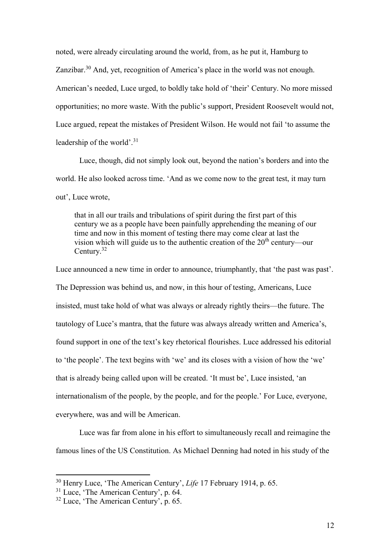noted, were already circulating around the world, from, as he put it, Hamburg to Zanzibar.<sup>30</sup> And, yet, recognition of America's place in the world was not enough. American's needed, Luce urged, to boldly take hold of 'their' Century. No more missed opportunities; no more waste. With the public's support, President Roosevelt would not, Luce argued, repeat the mistakes of President Wilson. He would not fail 'to assume the leadership of the world'. 31

Luce, though, did not simply look out, beyond the nation's borders and into the world. He also looked across time. 'And as we come now to the great test, it may turn out', Luce wrote,

that in all our trails and tribulations of spirit during the first part of this century we as a people have been painfully apprehending the meaning of our time and now in this moment of testing there may come clear at last the vision which will guide us to the authentic creation of the  $20<sup>th</sup>$  century—our Century.<sup>32</sup>

Luce announced a new time in order to announce, triumphantly, that 'the past was past'. The Depression was behind us, and now, in this hour of testing, Americans, Luce insisted, must take hold of what was always or already rightly theirs—the future. The tautology of Luce's mantra, that the future was always already written and America's, found support in one of the text's key rhetorical flourishes. Luce addressed his editorial to 'the people'. The text begins with 'we' and its closes with a vision of how the 'we' that is already being called upon will be created. 'It must be', Luce insisted, 'an internationalism of the people, by the people, and for the people.' For Luce, everyone, everywhere, was and will be American.

Luce was far from alone in his effort to simultaneously recall and reimagine the famous lines of the US Constitution. As Michael Denning had noted in his study of the

1

<sup>30</sup> Henry Luce, 'The American Century', *Life* 17 February 1914, p. 65.

<sup>&</sup>lt;sup>31</sup> Luce, 'The American Century', p. 64.

 $32$  Luce, 'The American Century', p. 65.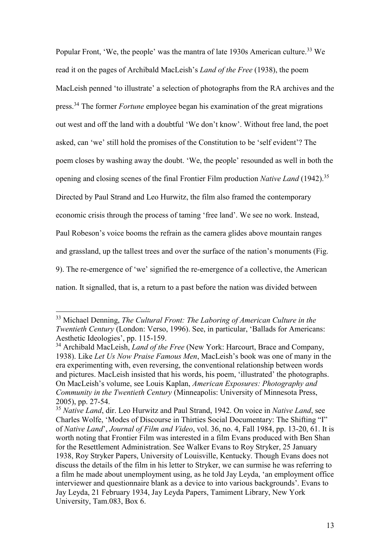Popular Front, 'We, the people' was the mantra of late 1930s American culture.<sup>33</sup> We read it on the pages of Archibald MacLeish's *Land of the Free* (1938), the poem MacLeish penned 'to illustrate' a selection of photographs from the RA archives and the press.<sup>34</sup> The former *Fortune* employee began his examination of the great migrations out west and off the land with a doubtful 'We don't know'. Without free land, the poet asked, can 'we' still hold the promises of the Constitution to be 'self evident'? The poem closes by washing away the doubt. 'We, the people' resounded as well in both the opening and closing scenes of the final Frontier Film production *Native Land* (1942).<sup>35</sup> Directed by Paul Strand and Leo Hurwitz, the film also framed the contemporary economic crisis through the process of taming 'free land'. We see no work. Instead, Paul Robeson's voice booms the refrain as the camera glides above mountain ranges and grassland, up the tallest trees and over the surface of the nation's monuments (Fig. 9). The re-emergence of 'we' signified the re-emergence of a collective, the American nation. It signalled, that is, a return to a past before the nation was divided between

<sup>33</sup> Michael Denning, *The Cultural Front: The Laboring of American Culture in the Twentieth Century* (London: Verso, 1996). See, in particular, 'Ballads for Americans: Aesthetic Ideologies', pp. 115-159.

<sup>34</sup> Archibald MacLeish, *Land of the Free* (New York: Harcourt, Brace and Company, 1938). Like *Let Us Now Praise Famous Men*, MacLeish's book was one of many in the era experimenting with, even reversing, the conventional relationship between words and pictures. MacLeish insisted that his words, his poem, 'illustrated' the photographs. On MacLeish's volume, see Louis Kaplan, *American Exposures: Photography and Community in the Twentieth Century* (Minneapolis: University of Minnesota Press, 2005), pp. 27-54.

<sup>35</sup> *Native Land*, dir. Leo Hurwitz and Paul Strand, 1942. On voice in *Native Land*, see Charles Wolfe, 'Modes of Discourse in Thirties Social Documentary: The Shifting "I" of *Native Land*', *Journal of Film and Video*, vol. 36, no. 4, Fall 1984, pp. 13-20, 61. It is worth noting that Frontier Film was interested in a film Evans produced with Ben Shan for the Resettlement Administration. See Walker Evans to Roy Stryker, 25 January 1938, Roy Stryker Papers, University of Louisville, Kentucky. Though Evans does not discuss the details of the film in his letter to Stryker, we can surmise he was referring to a film he made about unemployment using, as he told Jay Leyda, 'an employment office interviewer and questionnaire blank as a device to into various backgrounds'. Evans to Jay Leyda, 21 February 1934, Jay Leyda Papers, Tamiment Library, New York University, Tam.083, Box 6.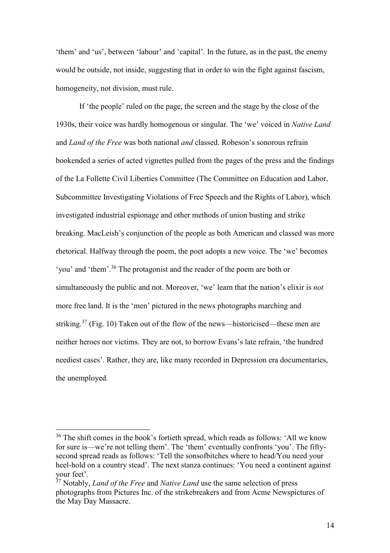'them' and 'us', between 'labour' and 'capital'. In the future, as in the past, the enemy would be outside, not inside, suggesting that in order to win the fight against fascism, homogeneity, not division, must rule.

If 'the people' ruled on the page, the screen and the stage by the close of the 1930s, their voice was hardly homogenous or singular. The 'we' voiced in *Native Land*  and *Land of the Free* was both national *and* classed. Robeson's sonorous refrain bookended a series of acted vignettes pulled from the pages of the press and the findings of the La Follette Civil Liberties Committee (The Committee on Education and Labor, Subcommittee Investigating Violations of Free Speech and the Rights of Labor), which investigated industrial espionage and other methods of union busting and strike breaking. MacLeish's conjunction of the people as both American and classed was more rhetorical. Halfway through the poem, the poet adopts a new voice. The 'we' becomes 'you' and 'them'. <sup>36</sup> The protagonist and the reader of the poem are both or simultaneously the public and not. Moreover, 'we' learn that the nation's elixir is *not* more free land. It is the 'men' pictured in the news photographs marching and striking.<sup>37</sup> (Fig. 10) Taken out of the flow of the news—historicised—these men are neither heroes nor victims. They are not, to borrow Evans's late refrain, 'the hundred neediest cases'. Rather, they are, like many recorded in Depression era documentaries, the unemployed.

1

<sup>&</sup>lt;sup>36</sup> The shift comes in the book's fortieth spread, which reads as follows: 'All we know for sure is—we're not telling them'. The 'them' eventually confronts 'you'. The fiftysecond spread reads as follows: 'Tell the sonsofbitches where to head/You need your heel-hold on a country stead'. The next stanza continues: 'You need a continent against your feet'.

<sup>37</sup> Notably, *Land of the Free* and *Native Land* use the same selection of press photographs from Pictures Inc. of the strikebreakers and from Acme Newspictures of the May Day Massacre.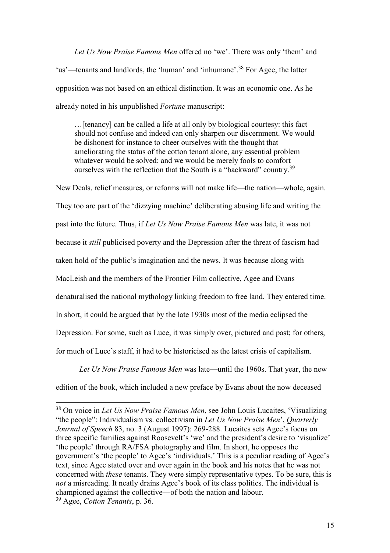*Let Us Now Praise Famous Men* offered no 'we'. There was only 'them' and 'us'—tenants and landlords, the 'human' and 'inhumane'.<sup>38</sup> For Agee, the latter opposition was not based on an ethical distinction. It was an economic one. As he already noted in his unpublished *Fortune* manuscript:

…[tenancy] can be called a life at all only by biological courtesy: this fact should not confuse and indeed can only sharpen our discernment. We would be dishonest for instance to cheer ourselves with the thought that ameliorating the status of the cotton tenant alone, any essential problem whatever would be solved: and we would be merely fools to comfort ourselves with the reflection that the South is a "backward" country.<sup>39</sup>

New Deals, relief measures, or reforms will not make life—the nation—whole, again. They too are part of the 'dizzying machine' deliberating abusing life and writing the past into the future. Thus, if *Let Us Now Praise Famous Men* was late, it was not because it *still* publicised poverty and the Depression after the threat of fascism had taken hold of the public's imagination and the news. It was because along with MacLeish and the members of the Frontier Film collective, Agee and Evans denaturalised the national mythology linking freedom to free land. They entered time. In short, it could be argued that by the late 1930s most of the media eclipsed the Depression. For some, such as Luce, it was simply over, pictured and past; for others, for much of Luce's staff, it had to be historicised as the latest crisis of capitalism.

*Let Us Now Praise Famous Men* was late—until the 1960s. That year, the new edition of the book, which included a new preface by Evans about the now deceased

<sup>38</sup> On voice in *Let Us Now Praise Famous Men*, see John Louis Lucaites, 'Visualizing "the people": Individualism vs. collectivism in *Let Us Now Praise Men*', *Quarterly Journal of Speech* 83, no. 3 (August 1997): 269-288. Lucaites sets Agee's focus on three specific families against Roosevelt's 'we' and the president's desire to 'visualize' 'the people' through RA/FSA photography and film. In short, he opposes the government's 'the people' to Agee's 'individuals.' This is a peculiar reading of Agee's text, since Agee stated over and over again in the book and his notes that he was not concerned with *these* tenants. They were simply representative types. To be sure, this is *not* a misreading. It neatly drains Agee's book of its class politics. The individual is championed against the collective—of both the nation and labour. <sup>39</sup> Agee, *Cotton Tenants*, p. 36.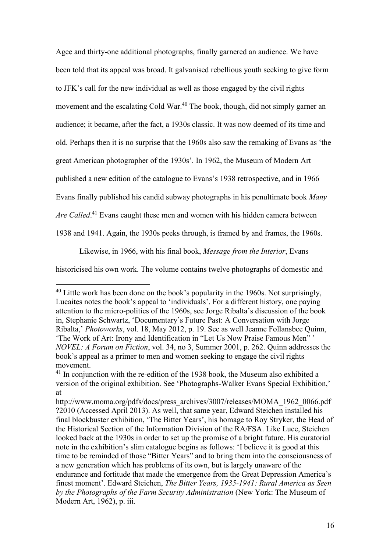Agee and thirty-one additional photographs, finally garnered an audience. We have been told that its appeal was broad. It galvanised rebellious youth seeking to give form to JFK's call for the new individual as well as those engaged by the civil rights movement and the escalating Cold War.<sup>40</sup> The book, though, did not simply garner an audience; it became, after the fact, a 1930s classic. It was now deemed of its time and old. Perhaps then it is no surprise that the 1960s also saw the remaking of Evans as 'the great American photographer of the 1930s'. In 1962, the Museum of Modern Art published a new edition of the catalogue to Evans's 1938 retrospective, and in 1966 Evans finally published his candid subway photographs in his penultimate book *Many*  Are Called.<sup>41</sup> Evans caught these men and women with his hidden camera between 1938 and 1941. Again, the 1930s peeks through, is framed by and frames, the 1960s.

Likewise, in 1966, with his final book, *Message from the Interior*, Evans

historicised his own work. The volume contains twelve photographs of domestic and

-

 $40$  Little work has been done on the book's popularity in the 1960s. Not surprisingly, Lucaites notes the book's appeal to 'individuals'. For a different history, one paying attention to the micro-politics of the 1960s, see Jorge Ribalta's discussion of the book in, Stephanie Schwartz, 'Documentary's Future Past: A Conversation with Jorge Ribalta,' *Photoworks*, vol. 18, May 2012, p. 19. See as well Jeanne Follansbee Quinn, 'The Work of Art: Irony and Identification in "Let Us Now Praise Famous Men" ' *NOVEL: A Forum on Fiction*, vol. 34, no 3, Summer 2001, p. 262. Quinn addresses the book's appeal as a primer to men and women seeking to engage the civil rights movement.

<sup>&</sup>lt;sup>41</sup> In conjunction with the re-edition of the 1938 book, the Museum also exhibited a version of the original exhibition. See 'Photographs-Walker Evans Special Exhibition,' at

http://www.moma.org/pdfs/docs/press\_archives/3007/releases/MOMA\_1962\_0066.pdf ?2010 (Accessed April 2013). As well, that same year, Edward Steichen installed his final blockbuster exhibition, 'The Bitter Years', his homage to Roy Stryker, the Head of the Historical Section of the Information Division of the RA/FSA. Like Luce, Steichen looked back at the 1930s in order to set up the promise of a bright future. His curatorial note in the exhibition's slim catalogue begins as follows: 'I believe it is good at this time to be reminded of those "Bitter Years" and to bring them into the consciousness of a new generation which has problems of its own, but is largely unaware of the endurance and fortitude that made the emergence from the Great Depression America's finest moment'. Edward Steichen, *The Bitter Years, 1935-1941: Rural America as Seen by the Photographs of the Farm Security Administration* (New York: The Museum of Modern Art, 1962), p. iii.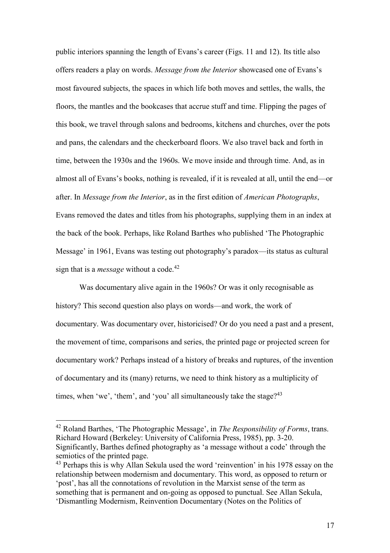public interiors spanning the length of Evans's career (Figs. 11 and 12). Its title also offers readers a play on words. *Message from the Interior* showcased one of Evans's most favoured subjects, the spaces in which life both moves and settles, the walls, the floors, the mantles and the bookcases that accrue stuff and time. Flipping the pages of this book, we travel through salons and bedrooms, kitchens and churches, over the pots and pans, the calendars and the checkerboard floors. We also travel back and forth in time, between the 1930s and the 1960s. We move inside and through time. And, as in almost all of Evans's books, nothing is revealed, if it is revealed at all, until the end—or after. In *Message from the Interior*, as in the first edition of *American Photographs*, Evans removed the dates and titles from his photographs, supplying them in an index at the back of the book. Perhaps, like Roland Barthes who published 'The Photographic Message' in 1961, Evans was testing out photography's paradox—its status as cultural sign that is a *message* without a code.<sup>42</sup>

Was documentary alive again in the 1960s? Or was it only recognisable as history? This second question also plays on words—and work, the work of documentary. Was documentary over, historicised? Or do you need a past and a present, the movement of time, comparisons and series, the printed page or projected screen for documentary work? Perhaps instead of a history of breaks and ruptures, of the invention of documentary and its (many) returns, we need to think history as a multiplicity of times, when 'we', 'them', and 'you' all simultaneously take the stage? $43$ 

<sup>42</sup> Roland Barthes, 'The Photographic Message', in *The Responsibility of Forms*, trans. Richard Howard (Berkeley: University of California Press, 1985), pp. 3-20. Significantly, Barthes defined photography as 'a message without a code' through the semiotics of the printed page.

<sup>&</sup>lt;sup>43</sup> Perhaps this is why Allan Sekula used the word 'reinvention' in his 1978 essay on the relationship between modernism and documentary. This word, as opposed to return or 'post', has all the connotations of revolution in the Marxist sense of the term as something that is permanent and on-going as opposed to punctual. See Allan Sekula, 'Dismantling Modernism, Reinvention Documentary (Notes on the Politics of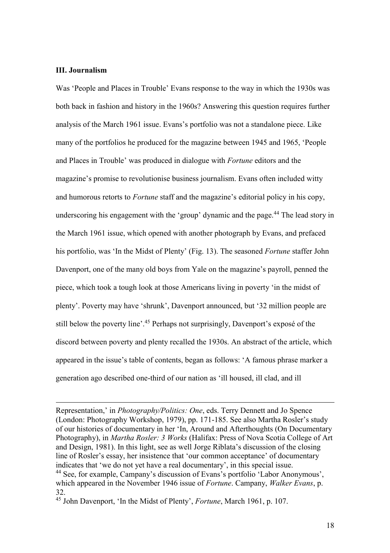## **III. Journalism**

<u>.</u>

Was 'People and Places in Trouble' Evans response to the way in which the 1930s was both back in fashion and history in the 1960s? Answering this question requires further analysis of the March 1961 issue. Evans's portfolio was not a standalone piece. Like many of the portfolios he produced for the magazine between 1945 and 1965, 'People and Places in Trouble' was produced in dialogue with *Fortune* editors and the magazine's promise to revolutionise business journalism. Evans often included witty and humorous retorts to *Fortune* staff and the magazine's editorial policy in his copy, underscoring his engagement with the 'group' dynamic and the page.<sup>44</sup> The lead story in the March 1961 issue, which opened with another photograph by Evans, and prefaced his portfolio, was 'In the Midst of Plenty' (Fig. 13). The seasoned *Fortune* staffer John Davenport, one of the many old boys from Yale on the magazine's payroll, penned the piece, which took a tough look at those Americans living in poverty 'in the midst of plenty'. Poverty may have 'shrunk', Davenport announced, but '32 million people are still below the poverty line'.<sup>45</sup> Perhaps not surprisingly, Davenport's exposé of the discord between poverty and plenty recalled the 1930s. An abstract of the article, which appeared in the issue's table of contents, began as follows: 'A famous phrase marker a generation ago described one-third of our nation as 'ill housed, ill clad, and ill

Representation,' in *Photography/Politics: One*, eds. Terry Dennett and Jo Spence (London: Photography Workshop, 1979), pp. 171-185. See also Martha Rosler's study of our histories of documentary in her 'In, Around and Afterthoughts (On Documentary Photography), in *Martha Rosler: 3 Works* (Halifax: Press of Nova Scotia College of Art and Design, 1981). In this light, see as well Jorge Riblata's discussion of the closing line of Rosler's essay, her insistence that 'our common acceptance' of documentary indicates that 'we do not yet have a real documentary', in this special issue. <sup>44</sup> See, for example, Campany's discussion of Evans's portfolio 'Labor Anonymous', which appeared in the November 1946 issue of *Fortune*. Campany, *Walker Evans*, p. 32.

<sup>45</sup> John Davenport, 'In the Midst of Plenty', *Fortune*, March 1961, p. 107.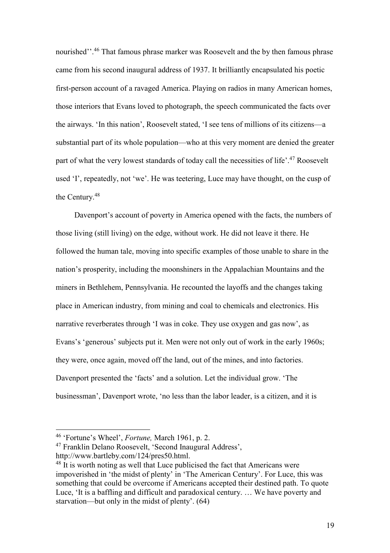nourished".<sup>46</sup> That famous phrase marker was Roosevelt and the by then famous phrase came from his second inaugural address of 1937. It brilliantly encapsulated his poetic first-person account of a ravaged America. Playing on radios in many American homes, those interiors that Evans loved to photograph, the speech communicated the facts over the airways. 'In this nation', Roosevelt stated, 'I see tens of millions of its citizens—a substantial part of its whole population—who at this very moment are denied the greater part of what the very lowest standards of today call the necessities of life'.<sup>47</sup> Roosevelt used 'I', repeatedly, not 'we'. He was teetering, Luce may have thought, on the cusp of the Century.<sup>48</sup>

Davenport's account of poverty in America opened with the facts, the numbers of those living (still living) on the edge, without work. He did not leave it there. He followed the human tale, moving into specific examples of those unable to share in the nation's prosperity, including the moonshiners in the Appalachian Mountains and the miners in Bethlehem, Pennsylvania. He recounted the layoffs and the changes taking place in American industry, from mining and coal to chemicals and electronics. His narrative reverberates through 'I was in coke. They use oxygen and gas now', as Evans's 'generous' subjects put it. Men were not only out of work in the early 1960s; they were, once again, moved off the land, out of the mines, and into factories. Davenport presented the 'facts' and a solution. Let the individual grow. 'The businessman', Davenport wrote, 'no less than the labor leader, is a citizen, and it is

1

<sup>47</sup> Franklin Delano Roosevelt, 'Second Inaugural Address', http://www.bartleby.com/124/pres50.html.

<sup>46</sup> 'Fortune's Wheel', *Fortune,* March 1961, p. 2.

<sup>&</sup>lt;sup>48</sup> It is worth noting as well that Luce publicised the fact that Americans were impoverished in 'the midst of plenty' in 'The American Century'. For Luce, this was something that could be overcome if Americans accepted their destined path. To quote Luce, 'It is a baffling and difficult and paradoxical century. … We have poverty and starvation—but only in the midst of plenty'. (64)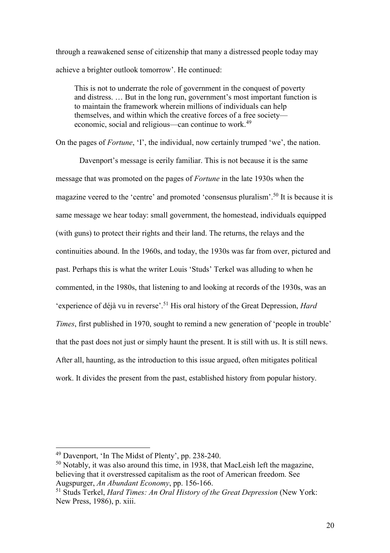through a reawakened sense of citizenship that many a distressed people today may achieve a brighter outlook tomorrow'. He continued:

This is not to underrate the role of government in the conquest of poverty and distress. … But in the long run, government's most important function is to maintain the framework wherein millions of individuals can help themselves, and within which the creative forces of a free society economic, social and religious—can continue to work.<sup>49</sup>

On the pages of *Fortune*, 'I', the individual, now certainly trumped 'we', the nation.

Davenport's message is eerily familiar. This is not because it is the same message that was promoted on the pages of *Fortune* in the late 1930s when the magazine veered to the 'centre' and promoted 'consensus pluralism'. <sup>50</sup> It is because it is same message we hear today: small government, the homestead, individuals equipped (with guns) to protect their rights and their land. The returns, the relays and the continuities abound. In the 1960s, and today, the 1930s was far from over, pictured and past. Perhaps this is what the writer Louis 'Studs' Terkel was alluding to when he commented, in the 1980s, that listening to and looking at records of the 1930s, was an 'experience of déjà vu in reverse'. <sup>51</sup> His oral history of the Great Depression, *Hard Times*, first published in 1970, sought to remind a new generation of 'people in trouble' that the past does not just or simply haunt the present. It is still with us. It is still news. After all, haunting, as the introduction to this issue argued, often mitigates political work. It divides the present from the past, established history from popular history.

<sup>49</sup> Davenport, 'In The Midst of Plenty', pp. 238-240.

<sup>50</sup> Notably, it was also around this time, in 1938, that MacLeish left the magazine, believing that it overstressed capitalism as the root of American freedom. See Augspurger, *An Abundant Economy*, pp. 156-166.

<sup>51</sup> Studs Terkel, *Hard Times: An Oral History of the Great Depression* (New York: New Press, 1986), p. xiii.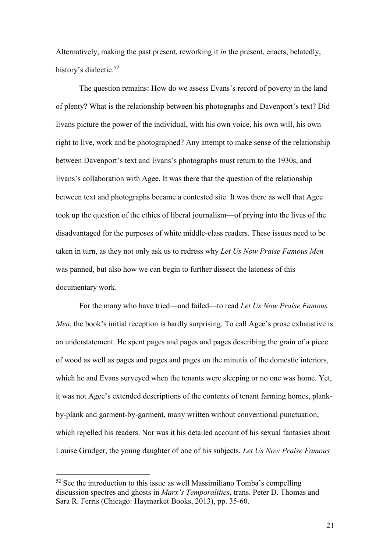Alternatively, making the past present, reworking it *in* the present, enacts, belatedly, history's dialectic.<sup>52</sup>

The question remains: How do we assess Evans's record of poverty in the land of plenty? What is the relationship between his photographs and Davenport's text? Did Evans picture the power of the individual, with his own voice, his own will, his own right to live, work and be photographed? Any attempt to make sense of the relationship between Davenport's text and Evans's photographs must return to the 1930s, and Evans's collaboration with Agee. It was there that the question of the relationship between text and photographs became a contested site. It was there as well that Agee took up the question of the ethics of liberal journalism—of prying into the lives of the disadvantaged for the purposes of white middle-class readers. These issues need to be taken in turn, as they not only ask us to redress why *Let Us Now Praise Famous Men* was panned, but also how we can begin to further dissect the lateness of this documentary work.

For the many who have tried—and failed—to read *Let Us Now Praise Famous Men*, the book's initial reception is hardly surprising. To call Agee's prose exhaustive is an understatement. He spent pages and pages and pages describing the grain of a piece of wood as well as pages and pages and pages on the minutia of the domestic interiors, which he and Evans surveyed when the tenants were sleeping or no one was home. Yet, it was not Agee's extended descriptions of the contents of tenant farming homes, plankby-plank and garment-by-garment, many written without conventional punctuation, which repelled his readers. Nor was it his detailed account of his sexual fantasies about Louise Grudger, the young daughter of one of his subjects. *Let Us Now Praise Famous* 

1

 $52$  See the introduction to this issue as well Massimiliano Tomba's compelling discussion spectres and ghosts in *Marx's Temporalities*, trans. Peter D. Thomas and Sara R. Ferris (Chicago: Haymarket Books, 2013), pp. 35-60.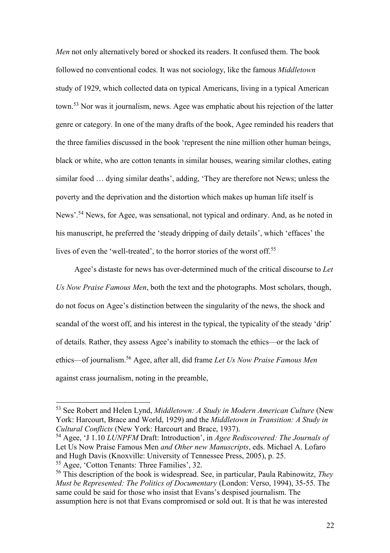*Men* not only alternatively bored or shocked its readers. It confused them. The book followed no conventional codes. It was not sociology, like the famous *Middletown* study of 1929, which collected data on typical Americans, living in a typical American town. <sup>53</sup> Nor was it journalism, news. Agee was emphatic about his rejection of the latter genre or category. In one of the many drafts of the book, Agee reminded his readers that the three families discussed in the book 'represent the nine million other human beings, black or white, who are cotton tenants in similar houses, wearing similar clothes, eating similar food … dying similar deaths', adding, 'They are therefore not News; unless the poverty and the deprivation and the distortion which makes up human life itself is News'.<sup>54</sup> News, for Agee, was sensational, not typical and ordinary. And, as he noted in his manuscript, he preferred the 'steady dripping of daily details', which 'effaces' the lives of even the 'well-treated', to the horror stories of the worst off.<sup>55</sup>

Agee's distaste for news has over-determined much of the critical discourse to *Let Us Now Praise Famous Men*, both the text and the photographs. Most scholars, though, do not focus on Agee's distinction between the singularity of the news, the shock and scandal of the worst off, and his interest in the typical, the typicality of the steady 'drip' of details. Rather, they assess Agee's inability to stomach the ethics—or the lack of ethics—of journalism.<sup>56</sup> Agee, after all, did frame *Let Us Now Praise Famous Men* against crass journalism, noting in the preamble,

<sup>53</sup> See Robert and Helen Lynd, *Middletown: A Study in Modern American Culture* (New York: Harcourt, Brace and World, 1929) and the *Middletown in Transition: A Study in Cultural Conflicts* (New York: Harcourt and Brace, 1937).

<sup>54</sup> Agee, 'J 1.10 *LUNPFM* Draft: Introduction', in *Agee Rediscovered: The Journals of*  Let Us Now Praise Famous Men *and Other new Manuscripts*, eds. Michael A. Lofaro and Hugh Davis (Knoxville: University of Tennessee Press, 2005), p. 25.

<sup>55</sup> Agee, 'Cotton Tenants: Three Families', 32.

<sup>56</sup> This description of the book is widespread. See, in particular, Paula Rabinowitz, *They Must be Represented: The Politics of Documentary* (London: Verso, 1994), 35-55. The same could be said for those who insist that Evans's despised journalism. The assumption here is not that Evans compromised or sold out. It is that he was interested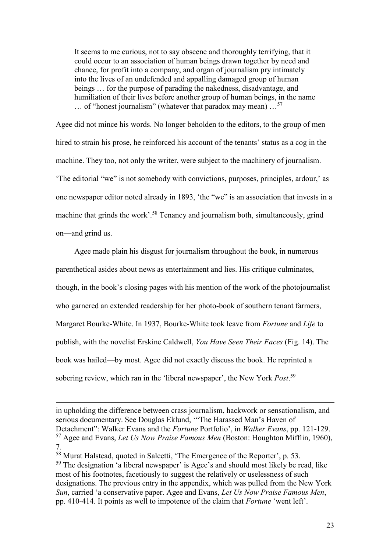It seems to me curious, not to say obscene and thoroughly terrifying, that it could occur to an association of human beings drawn together by need and chance, for profit into a company, and organ of journalism pry intimately into the lives of an undefended and appalling damaged group of human beings … for the purpose of parading the nakedness, disadvantage, and humiliation of their lives before another group of human beings, in the name  $\ldots$  of "honest journalism" (whatever that paradox may mean)  $\ldots$ <sup>57</sup>

Agee did not mince his words. No longer beholden to the editors, to the group of men hired to strain his prose, he reinforced his account of the tenants' status as a cog in the machine. They too, not only the writer, were subject to the machinery of journalism. 'The editorial "we" is not somebody with convictions, purposes, principles, ardour,' as one newspaper editor noted already in 1893, 'the "we" is an association that invests in a machine that grinds the work'.<sup>58</sup> Tenancy and journalism both, simultaneously, grind on—and grind us.

Agee made plain his disgust for journalism throughout the book, in numerous parenthetical asides about news as entertainment and lies. His critique culminates, though, in the book's closing pages with his mention of the work of the photojournalist who garnered an extended readership for her photo-book of southern tenant farmers, Margaret Bourke-White. In 1937, Bourke-White took leave from *Fortune* and *Life* to publish, with the novelist Erskine Caldwell, *You Have Seen Their Faces* (Fig. 14). The book was hailed—by most. Agee did not exactly discuss the book. He reprinted a sobering review, which ran in the 'liberal newspaper', the New York *Post*. 59

in upholding the difference between crass journalism, hackwork or sensationalism, and serious documentary. See Douglas Eklund, '"The Harassed Man's Haven of Detachment": Walker Evans and the *Fortune* Portfolio', in *Walker Evans*, pp. 121-129. <sup>57</sup> Agee and Evans, *Let Us Now Praise Famous Men* (Boston: Houghton Mifflin, 1960), 7.

<sup>58</sup> Murat Halstead, quoted in Salcetti, 'The Emergence of the Reporter', p. 53. <sup>59</sup> The designation 'a liberal newspaper' is Agee's and should most likely be read, like most of his footnotes, facetiously to suggest the relatively or uselessness of such designations. The previous entry in the appendix, which was pulled from the New York *Sun*, carried 'a conservative paper. Agee and Evans, *Let Us Now Praise Famous Men*, pp. 410-414. It points as well to impotence of the claim that *Fortune* 'went left'.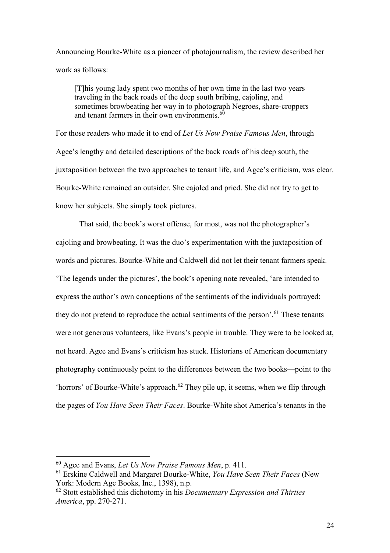Announcing Bourke-White as a pioneer of photojournalism, the review described her work as follows:

[T]his young lady spent two months of her own time in the last two years traveling in the back roads of the deep south bribing, cajoling, and sometimes browbeating her way in to photograph Negroes, share-croppers and tenant farmers in their own environments. $60$ 

For those readers who made it to end of *Let Us Now Praise Famous Men*, through Agee's lengthy and detailed descriptions of the back roads of his deep south, the juxtaposition between the two approaches to tenant life, and Agee's criticism, was clear. Bourke-White remained an outsider. She cajoled and pried. She did not try to get to know her subjects. She simply took pictures.

That said, the book's worst offense, for most, was not the photographer's cajoling and browbeating. It was the duo's experimentation with the juxtaposition of words and pictures. Bourke-White and Caldwell did not let their tenant farmers speak. 'The legends under the pictures', the book's opening note revealed, 'are intended to express the author's own conceptions of the sentiments of the individuals portrayed: they do not pretend to reproduce the actual sentiments of the person'.<sup>61</sup> These tenants were not generous volunteers, like Evans's people in trouble. They were to be looked at, not heard. Agee and Evans's criticism has stuck. Historians of American documentary photography continuously point to the differences between the two books—point to the 'horrors' of Bourke-White's approach.<sup>62</sup> They pile up, it seems, when we flip through the pages of *You Have Seen Their Faces*. Bourke-White shot America's tenants in the

<sup>60</sup> Agee and Evans, *Let Us Now Praise Famous Men*, p. 411.

<sup>61</sup> Erskine Caldwell and Margaret Bourke-White, *You Have Seen Their Faces* (New York: Modern Age Books, Inc., 1398), n.p.

<sup>62</sup> Stott established this dichotomy in his *Documentary Expression and Thirties America*, pp. 270-271.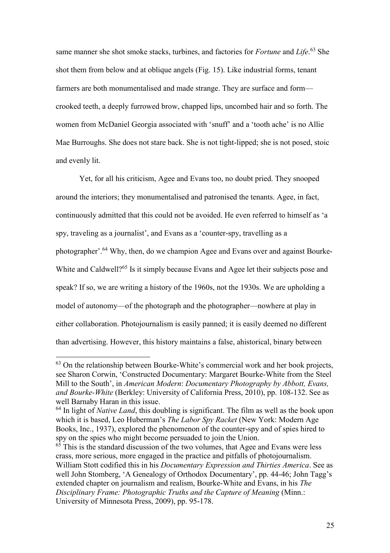same manner she shot smoke stacks, turbines, and factories for *Fortune* and *Life*. <sup>63</sup> She shot them from below and at oblique angels (Fig. 15). Like industrial forms, tenant farmers are both monumentalised and made strange. They are surface and form crooked teeth, a deeply furrowed brow, chapped lips, uncombed hair and so forth. The women from McDaniel Georgia associated with 'snuff' and a 'tooth ache' is no Allie Mae Burroughs. She does not stare back. She is not tight-lipped; she is not posed, stoic and evenly lit.

Yet, for all his criticism, Agee and Evans too, no doubt pried. They snooped around the interiors; they monumentalised and patronised the tenants. Agee, in fact, continuously admitted that this could not be avoided. He even referred to himself as 'a spy, traveling as a journalist', and Evans as a 'counter-spy, travelling as a photographer'.<sup>64</sup> Why, then, do we champion Agee and Evans over and against Bourke-White and Caldwell?<sup>65</sup> Is it simply because Evans and Agee let their subjects pose and speak? If so, we are writing a history of the 1960s, not the 1930s. We are upholding a model of autonomy—of the photograph and the photographer—nowhere at play in either collaboration. Photojournalism is easily panned; it is easily deemed no different than advertising. However, this history maintains a false, ahistorical, binary between

<sup>63</sup> On the relationship between Bourke-White's commercial work and her book projects, see Sharon Corwin, 'Constructed Documentary: Margaret Bourke-White from the Steel Mill to the South', in *American Modern*: *Documentary Photography by Abbott, Evans, and Bourke-White* (Berkley: University of California Press, 2010), pp. 108-132. See as well Barnaby Haran in this issue.

<sup>&</sup>lt;sup>64</sup> In light of *Native Land*, this doubling is significant. The film as well as the book upon which it is based, Leo Huberman's *The Labor Spy Racket* (New York: Modern Age Books, Inc., 1937), explored the phenomenon of the counter-spy and of spies hired to spy on the spies who might become persuaded to join the Union.

 $65$  This is the standard discussion of the two volumes, that Agee and Evans were less crass, more serious, more engaged in the practice and pitfalls of photojournalism. William Stott codified this in his *Documentary Expression and Thirties America*. See as well John Stomberg, 'A Genealogy of Orthodox Documentary', pp. 44-46; John Tagg's extended chapter on journalism and realism, Bourke-White and Evans, in his *The Disciplinary Frame: Photographic Truths and the Capture of Meaning* (Minn.: University of Minnesota Press, 2009), pp. 95-178.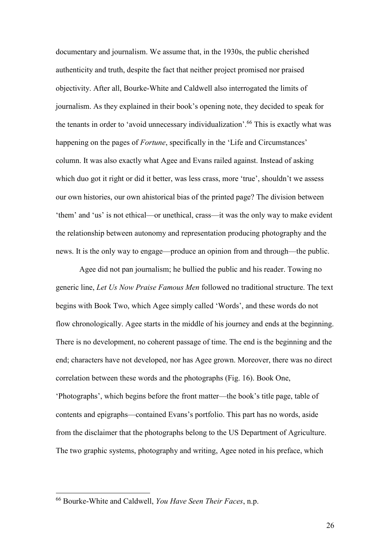documentary and journalism. We assume that, in the 1930s, the public cherished authenticity and truth, despite the fact that neither project promised nor praised objectivity. After all, Bourke-White and Caldwell also interrogated the limits of journalism. As they explained in their book's opening note, they decided to speak for the tenants in order to 'avoid unnecessary individualization'.<sup>66</sup> This is exactly what was happening on the pages of *Fortune*, specifically in the 'Life and Circumstances' column. It was also exactly what Agee and Evans railed against. Instead of asking which duo got it right or did it better, was less crass, more 'true', shouldn't we assess our own histories, our own ahistorical bias of the printed page? The division between 'them' and 'us' is not ethical—or unethical, crass—it was the only way to make evident the relationship between autonomy and representation producing photography and the news. It is the only way to engage—produce an opinion from and through—the public.

Agee did not pan journalism; he bullied the public and his reader. Towing no generic line, *Let Us Now Praise Famous Men* followed no traditional structure. The text begins with Book Two, which Agee simply called 'Words', and these words do not flow chronologically. Agee starts in the middle of his journey and ends at the beginning. There is no development, no coherent passage of time. The end is the beginning and the end; characters have not developed, nor has Agee grown. Moreover, there was no direct correlation between these words and the photographs (Fig. 16). Book One, 'Photographs', which begins before the front matter—the book's title page, table of contents and epigraphs—contained Evans's portfolio. This part has no words, aside from the disclaimer that the photographs belong to the US Department of Agriculture. The two graphic systems, photography and writing, Agee noted in his preface, which

<sup>66</sup> Bourke-White and Caldwell, *You Have Seen Their Faces*, n.p.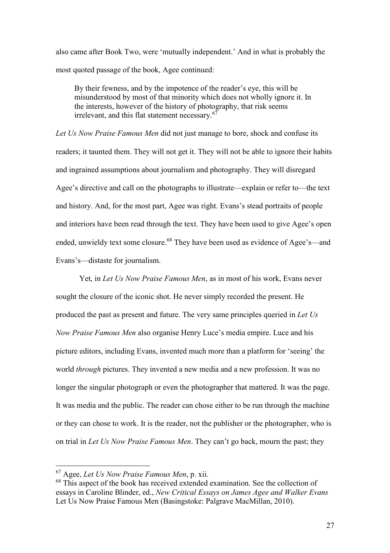also came after Book Two, were 'mutually independent.' And in what is probably the most quoted passage of the book, Agee continued:

By their fewness, and by the impotence of the reader's eye, this will be misunderstood by most of that minority which does not wholly ignore it. In the interests, however of the history of photography, that risk seems irrelevant, and this flat statement necessary.<sup>67</sup>

*Let Us Now Praise Famous Men* did not just manage to bore, shock and confuse its readers; it taunted them. They will not get it. They will not be able to ignore their habits and ingrained assumptions about journalism and photography. They will disregard Agee's directive and call on the photographs to illustrate—explain or refer to—the text and history. And, for the most part, Agee was right. Evans's stead portraits of people and interiors have been read through the text. They have been used to give Agee's open ended, unwieldy text some closure.<sup>68</sup> They have been used as evidence of Agee's—and Evans's—distaste for journalism.

Yet, in *Let Us Now Praise Famous Men*, as in most of his work, Evans never sought the closure of the iconic shot. He never simply recorded the present. He produced the past as present and future. The very same principles queried in *Let Us Now Praise Famous Men* also organise Henry Luce's media empire. Luce and his picture editors, including Evans, invented much more than a platform for 'seeing' the world *through* pictures. They invented a new media and a new profession. It was no longer the singular photograph or even the photographer that mattered. It was the page. It was media and the public. The reader can chose either to be run through the machine or they can chose to work. It is the reader, not the publisher or the photographer, who is on trial in *Let Us Now Praise Famous Men*. They can't go back, mourn the past; they

1

<sup>67</sup> Agee, *Let Us Now Praise Famous Men*, p. xii.

<sup>&</sup>lt;sup>68</sup> This aspect of the book has received extended examination. See the collection of essays in Caroline Blinder, ed., *New Critical Essays on James Agee and Walker Evans* Let Us Now Praise Famous Men (Basingstoke: Palgrave MacMillan, 2010).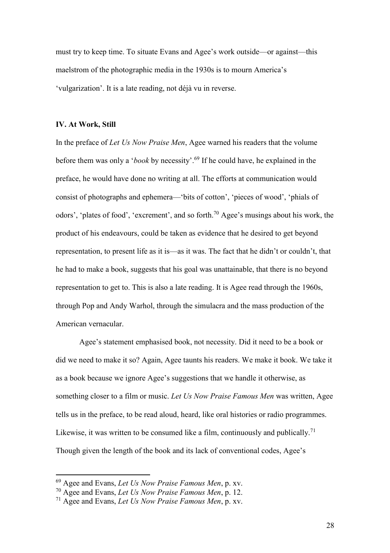must try to keep time. To situate Evans and Agee's work outside—or against—this maelstrom of the photographic media in the 1930s is to mourn America's 'vulgarization'. It is a late reading, not déjà vu in reverse.

#### **IV. At Work, Still**

In the preface of *Let Us Now Praise Men*, Agee warned his readers that the volume before them was only a '*book* by necessity'.<sup>69</sup> If he could have, he explained in the preface, he would have done no writing at all. The efforts at communication would consist of photographs and ephemera—'bits of cotton', 'pieces of wood', 'phials of odors', 'plates of food', 'excrement', and so forth.<sup>70</sup> Agee's musings about his work, the product of his endeavours, could be taken as evidence that he desired to get beyond representation, to present life as it is—as it was. The fact that he didn't or couldn't, that he had to make a book, suggests that his goal was unattainable, that there is no beyond representation to get to. This is also a late reading. It is Agee read through the 1960s, through Pop and Andy Warhol, through the simulacra and the mass production of the American vernacular.

Agee's statement emphasised book, not necessity. Did it need to be a book or did we need to make it so? Again, Agee taunts his readers. We make it book. We take it as a book because we ignore Agee's suggestions that we handle it otherwise, as something closer to a film or music. *Let Us Now Praise Famous Men* was written, Agee tells us in the preface, to be read aloud, heard, like oral histories or radio programmes. Likewise, it was written to be consumed like a film, continuously and publically.<sup>71</sup> Though given the length of the book and its lack of conventional codes, Agee's

1

<sup>69</sup> Agee and Evans, *Let Us Now Praise Famous Men*, p. xv.

<sup>70</sup> Agee and Evans, *Let Us Now Praise Famous Men*, p. 12.

<sup>71</sup> Agee and Evans, *Let Us Now Praise Famous Men*, p. xv.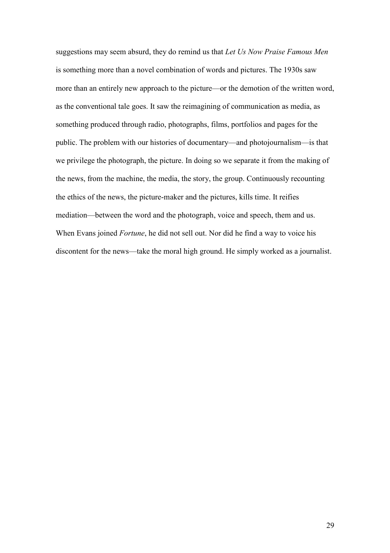suggestions may seem absurd, they do remind us that *Let Us Now Praise Famous Men*  is something more than a novel combination of words and pictures. The 1930s saw more than an entirely new approach to the picture—or the demotion of the written word, as the conventional tale goes. It saw the reimagining of communication as media, as something produced through radio, photographs, films, portfolios and pages for the public. The problem with our histories of documentary—and photojournalism—is that we privilege the photograph, the picture. In doing so we separate it from the making of the news, from the machine, the media, the story, the group. Continuously recounting the ethics of the news, the picture-maker and the pictures, kills time. It reifies mediation—between the word and the photograph, voice and speech, them and us. When Evans joined *Fortune*, he did not sell out. Nor did he find a way to voice his discontent for the news—take the moral high ground. He simply worked as a journalist.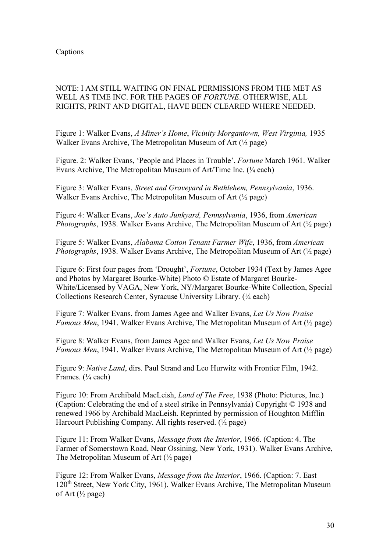# NOTE: I AM STILL WAITING ON FINAL PERMISSIONS FROM THE MET AS WELL AS TIME INC. FOR THE PAGES OF *FORTUNE*. OTHERWISE, ALL RIGHTS, PRINT AND DIGITAL, HAVE BEEN CLEARED WHERE NEEDED.

Figure 1: Walker Evans, *A Miner's Home*, *Vicinity Morgantown, West Virginia,* 1935 Walker Evans Archive, The Metropolitan Museum of Art (½ page)

Figure. 2: Walker Evans, 'People and Places in Trouble', *Fortune* March 1961. Walker Evans Archive, The Metropolitan Museum of Art/Time Inc. (¼ each)

Figure 3: Walker Evans, *Street and Graveyard in Bethlehem, Pennsylvania*, 1936. Walker Evans Archive, The Metropolitan Museum of Art (½ page)

Figure 4: Walker Evans, *Joe's Auto Junkyard, Pennsylvania*, 1936, from *American Photographs*, 1938. Walker Evans Archive, The Metropolitan Museum of Art (½ page)

Figure 5: Walker Evans, *Alabama Cotton Tenant Farmer Wife*, 1936, from *American Photographs*, 1938. Walker Evans Archive, The Metropolitan Museum of Art (½ page)

Figure 6: First four pages from 'Drought', *Fortune*, October 1934 (Text by James Agee and Photos by Margaret Bourke-White) Photo © Estate of Margaret Bourke-White/Licensed by VAGA, New York, NY/Margaret Bourke-White Collection, Special Collections Research Center, Syracuse University Library. (¼ each)

Figure 7: Walker Evans, from James Agee and Walker Evans, *Let Us Now Praise Famous Men*, 1941. Walker Evans Archive, The Metropolitan Museum of Art (½ page)

Figure 8: Walker Evans, from James Agee and Walker Evans, *Let Us Now Praise Famous Men*, 1941. Walker Evans Archive, The Metropolitan Museum of Art (½ page)

Figure 9: *Native Land*, dirs. Paul Strand and Leo Hurwitz with Frontier Film, 1942. Frames. (1/4 each)

Figure 10: From Archibald MacLeish, *Land of The Free*, 1938 (Photo: Pictures, Inc.) (Caption: Celebrating the end of a steel strike in Pennsylvania) Copyright © 1938 and renewed 1966 by Archibald MacLeish. Reprinted by permission of Houghton Mifflin Harcourt Publishing Company. All rights reserved. (½ page)

Figure 11: From Walker Evans, *Message from the Interior*, 1966. (Caption: 4. The Farmer of Somerstown Road, Near Ossining, New York, 1931). Walker Evans Archive, The Metropolitan Museum of Art  $(\frac{1}{2}$  page)

Figure 12: From Walker Evans, *Message from the Interior*, 1966. (Caption: 7. East 120<sup>th</sup> Street, New York City, 1961). Walker Evans Archive, The Metropolitan Museum of Art  $(\frac{1}{2}$  page)